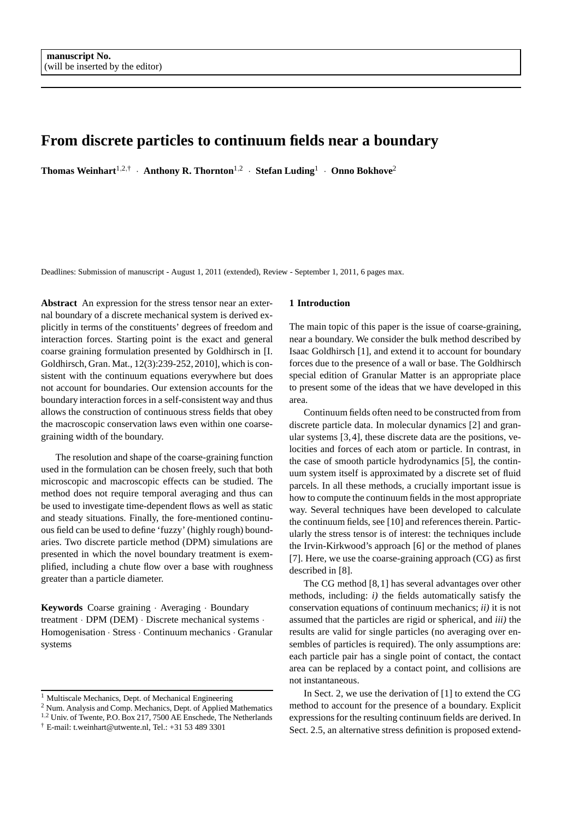# **From discrete particles to continuum fields near a boundary**

**Thomas Weinhart**1,2,† · **Anthony R. Thornton**1,<sup>2</sup> · **Stefan Luding**<sup>1</sup> · **Onno Bokhove**<sup>2</sup>

Deadlines: Submission of manuscript - August 1, 2011 (extended), Review - September 1, 2011, 6 pages max.

**Abstract** An expression for the stress tensor near an external boundary of a discrete mechanical system is derived explicitly in terms of the constituents' degrees of freedom and interaction forces. Starting point is the exact and general coarse graining formulation presented by Goldhirsch in [I. Goldhirsch, Gran. Mat., 12(3):239-252, 2010], which is consistent with the continuum equations everywhere but does not account for boundaries. Our extension accounts for the boundary interaction forces in a self-consistent way and thus allows the construction of continuous stress fields that obey the macroscopic conservation laws even within one coarsegraining width of the boundary.

The resolution and shape of the coarse-graining function used in the formulation can be chosen freely, such that both microscopic and macroscopic effects can be studied. The method does not require temporal averaging and thus can be used to investigate time-dependent flows as well as static and steady situations. Finally, the fore-mentioned continuous field can be used to define 'fuzzy' (highly rough) boundaries. Two discrete particle method (DPM) simulations are presented in which the novel boundary treatment is exemplified, including a chute flow over a base with roughness greater than a particle diameter.

**Keywords** Coarse graining · Averaging · Boundary treatment · DPM (DEM) · Discrete mechanical systems · Homogenisation · Stress · Continuum mechanics · Granular systems

### **1 Introduction**

The main topic of this paper is the issue of coarse-graining, near a boundary. We consider the bulk method described by Isaac Goldhirsch [1], and extend it to account for boundary forces due to the presence of a wall or base. The Goldhirsch special edition of Granular Matter is an appropriate place to present some of the ideas that we have developed in this area.

Continuum fields often need to be constructed from from discrete particle data. In molecular dynamics [2] and granular systems [3,4], these discrete data are the positions, velocities and forces of each atom or particle. In contrast, in the case of smooth particle hydrodynamics [5], the continuum system itself is approximated by a discrete set of fluid parcels. In all these methods, a crucially important issue is how to compute the continuum fields in the most appropriate way. Several techniques have been developed to calculate the continuum fields, see [10] and references therein. Particularly the stress tensor is of interest: the techniques include the Irvin-Kirkwood's approach [6] or the method of planes [7]. Here, we use the coarse-graining approach (CG) as first described in [8].

The CG method [8,1] has several advantages over other methods, including: *i)* the fields automatically satisfy the conservation equations of continuum mechanics; *ii)* it is not assumed that the particles are rigid or spherical, and *iii)* the results are valid for single particles (no averaging over ensembles of particles is required). The only assumptions are: each particle pair has a single point of contact, the contact area can be replaced by a contact point, and collisions are not instantaneous.

In Sect. 2, we use the derivation of [1] to extend the CG method to account for the presence of a boundary. Explicit expressions for the resulting continuum fields are derived. In Sect. 2.5, an alternative stress definition is proposed extend-

<sup>&</sup>lt;sup>1</sup> Multiscale Mechanics, Dept. of Mechanical Engineering

<sup>2</sup> Num. Analysis and Comp. Mechanics, Dept. of Applied Mathematics

<sup>&</sup>lt;sup>1,2</sup> Univ. of Twente, P.O. Box 217, 7500 AE Enschede, The Netherlands

 $\dagger$  E-mail: t.weinhart@utwente.nl, Tel.: +31 53 489 3301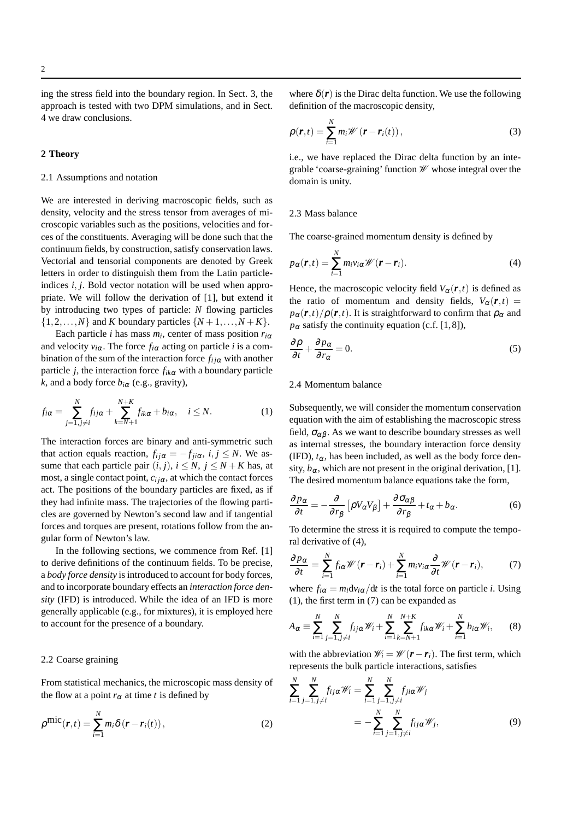ing the stress field into the boundary region. In Sect. 3, the approach is tested with two DPM simulations, and in Sect. 4 we draw conclusions.

### **2 Theory**

## 2.1 Assumptions and notation

We are interested in deriving macroscopic fields, such as density, velocity and the stress tensor from averages of microscopic variables such as the positions, velocities and forces of the constituents. Averaging will be done such that the continuum fields, by construction, satisfy conservation laws. Vectorial and tensorial components are denoted by Greek letters in order to distinguish them from the Latin particleindices *i*, *j*. Bold vector notation will be used when appropriate. We will follow the derivation of [1], but extend it by introducing two types of particle: *N* flowing particles  $\{1,2,\ldots,N\}$  and *K* boundary particles  $\{N+1,\ldots,N+K\}$ .

Each particle *i* has mass *m<sup>i</sup>* , center of mass position *ri*<sup>α</sup> and velocity  $v_{i\alpha}$ . The force  $f_{i\alpha}$  acting on particle *i* is a combination of the sum of the interaction force  $f_{ij\alpha}$  with another particle *j*, the interaction force  $f_{ik\alpha}$  with a boundary particle *k*, and a body force  $b_{i\alpha}$  (e.g., gravity),

$$
f_{i\alpha} = \sum_{j=1, j\neq i}^{N} f_{ij\alpha} + \sum_{k=N+1}^{N+K} f_{ik\alpha} + b_{i\alpha}, \quad i \leq N.
$$
 (1)

The interaction forces are binary and anti-symmetric such that action equals reaction,  $f_{ij\alpha} = -f_{ji\alpha}, i, j \leq N$ . We assume that each particle pair  $(i, j)$ ,  $i \leq N$ ,  $j \leq N + K$  has, at most, a single contact point,  $c_{ij\alpha}$ , at which the contact forces act. The positions of the boundary particles are fixed, as if they had infinite mass. The trajectories of the flowing particles are governed by Newton's second law and if tangential forces and torques are present, rotations follow from the angular form of Newton's law.

In the following sections, we commence from Ref. [1] to derive definitions of the continuum fields. To be precise, a *body force density* is introduced to account for body forces, and to incorporate boundary effects an *interaction force density* (IFD) is introduced. While the idea of an IFD is more generally applicable (e.g., for mixtures), it is employed here to account for the presence of a boundary.

### 2.2 Coarse graining

From statistical mechanics, the microscopic mass density of the flow at a point  $r_\alpha$  at time *t* is defined by

$$
\rho^{\text{mic}}(\boldsymbol{r},t) = \sum_{i=1}^{N} m_i \delta(\boldsymbol{r} - \boldsymbol{r}_i(t)),
$$
\n(2)

where  $\delta(\mathbf{r})$  is the Dirac delta function. We use the following definition of the macroscopic density,

$$
\rho(\mathbf{r},t) = \sum_{i=1}^{N} m_i \mathscr{W}(\mathbf{r} - \mathbf{r}_i(t)),
$$
\n(3)

i.e., we have replaced the Dirac delta function by an integrable 'coarse-graining' function W whose integral over the domain is unity.

### 2.3 Mass balance

The coarse-grained momentum density is defined by

$$
p_{\alpha}(\boldsymbol{r},t)=\sum_{i=1}^{N}m_{i}v_{i\alpha}\mathscr{W}(\boldsymbol{r}-\boldsymbol{r}_{i}).
$$
\n(4)

Hence, the macroscopic velocity field  $V_\alpha(\mathbf{r},t)$  is defined as the ratio of momentum and density fields,  $V_\alpha(\mathbf{r},t)$  =  $p_{\alpha}(r,t)/\rho(r,t)$ . It is straightforward to confirm that  $\rho_{\alpha}$  and  $p_\alpha$  satisfy the continuity equation (c.f. [1,8]),

$$
\frac{\partial \rho}{\partial t} + \frac{\partial p_{\alpha}}{\partial r_{\alpha}} = 0.
$$
 (5)

### 2.4 Momentum balance

Subsequently, we will consider the momentum conservation equation with the aim of establishing the macroscopic stress field,  $\sigma_{\alpha\beta}$ . As we want to describe boundary stresses as well as internal stresses, the boundary interaction force density (IFD),  $t_{\alpha}$ , has been included, as well as the body force density,  $b_{\alpha}$ , which are not present in the original derivation, [1]. The desired momentum balance equations take the form,

$$
\frac{\partial p_{\alpha}}{\partial t} = -\frac{\partial}{\partial r_{\beta}} \left[ \rho V_{\alpha} V_{\beta} \right] + \frac{\partial \sigma_{\alpha \beta}}{\partial r_{\beta}} + t_{\alpha} + b_{\alpha}.
$$
 (6)

To determine the stress it is required to compute the temporal derivative of (4),

$$
\frac{\partial p_{\alpha}}{\partial t} = \sum_{i=1}^{N} f_{i\alpha} \mathscr{W}(\mathbf{r} - \mathbf{r}_i) + \sum_{i=1}^{N} m_i v_{i\alpha} \frac{\partial}{\partial t} \mathscr{W}(\mathbf{r} - \mathbf{r}_i), \tag{7}
$$

where  $f_{i\alpha} = m_i \frac{dv_{i\alpha}}{dt}$  is the total force on particle *i*. Using (1), the first term in (7) can be expanded as

$$
A_{\alpha} \equiv \sum_{i=1}^{N} \sum_{j=1, j \neq i}^{N} f_{ij\alpha} \mathscr{W}_i + \sum_{i=1}^{N} \sum_{k=N+1}^{N+K} f_{ik\alpha} \mathscr{W}_i + \sum_{i=1}^{N} b_{i\alpha} \mathscr{W}_i, \qquad (8)
$$

with the abbreviation  $\mathcal{W}_i = \mathcal{W}(\mathbf{r} - \mathbf{r}_i)$ . The first term, which represents the bulk particle interactions, satisfies

$$
\sum_{i=1}^{N} \sum_{j=1, j \neq i}^{N} f_{ij\alpha} \mathcal{W}_i = \sum_{i=1}^{N} \sum_{j=1, j \neq i}^{N} f_{ji\alpha} \mathcal{W}_j
$$
\n
$$
= -\sum_{i=1}^{N} \sum_{j=1, j \neq i}^{N} f_{ij\alpha} \mathcal{W}_j,
$$
\n(9)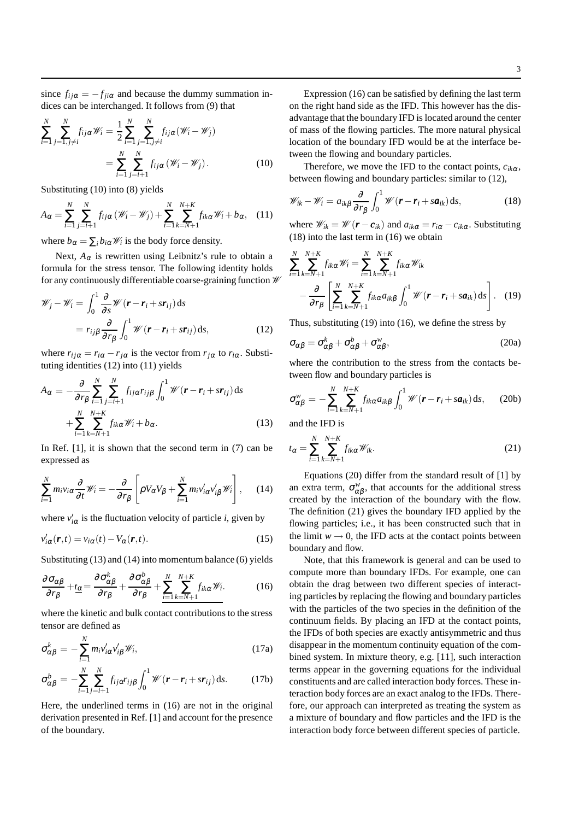since  $f_{ij\alpha} = -f_{ji\alpha}$  and because the dummy summation indices can be interchanged. It follows from (9) that

$$
\sum_{i=1}^{N} \sum_{j=1, j \neq i}^{N} f_{ij\alpha} \mathcal{W}_i = \frac{1}{2} \sum_{i=1}^{N} \sum_{j=1, j \neq i}^{N} f_{ij\alpha} (\mathcal{W}_i - \mathcal{W}_j)
$$

$$
= \sum_{i=1}^{N} \sum_{j=i+1}^{N} f_{ij\alpha} (\mathcal{W}_i - \mathcal{W}_j).
$$
(10)

Substituting (10) into (8) yields

$$
A_{\alpha} = \sum_{i=1}^{N} \sum_{j=i+1}^{N} f_{ij\alpha} \left( \mathcal{W}_i - \mathcal{W}_j \right) + \sum_{i=1}^{N} \sum_{k=N+1}^{N+K} f_{ik\alpha} \mathcal{W}_i + b_{\alpha}, \quad (11)
$$

where  $b_{\alpha} = \sum_{i} b_{i\alpha} \mathcal{W}_i$  is the body force density.

Next,  $A_{\alpha}$  is rewritten using Leibnitz's rule to obtain a formula for the stress tensor. The following identity holds for any continuously differentiable coarse-graining function W

$$
\mathscr{W}_j - \mathscr{W}_i = \int_0^1 \frac{\partial}{\partial s} \mathscr{W}(\mathbf{r} - \mathbf{r}_i + s\mathbf{r}_{ij}) ds \n= r_{ij\beta} \frac{\partial}{\partial r_\beta} \int_0^1 \mathscr{W}(\mathbf{r} - \mathbf{r}_i + s\mathbf{r}_{ij}) ds,
$$
\n(12)

where  $r_{ij\alpha} = r_{i\alpha} - r_{j\alpha}$  is the vector from  $r_{j\alpha}$  to  $r_{i\alpha}$ . Substituting identities (12) into (11) yields

$$
A_{\alpha} = -\frac{\partial}{\partial r_{\beta}} \sum_{i=1}^{N} \sum_{j=i+1}^{N} f_{ij\alpha} r_{ij\beta} \int_{0}^{1} \mathcal{W}(\mathbf{r} - \mathbf{r}_{i} + s\mathbf{r}_{ij}) ds + \sum_{i=1}^{N} \sum_{k=N+1}^{N+K} f_{ik\alpha} \mathcal{W}_{i} + b_{\alpha}.
$$
 (13)

In Ref.  $[1]$ , it is shown that the second term in  $(7)$  can be expressed as

$$
\sum_{i=1}^{N} m_i v_{i\alpha} \frac{\partial}{\partial t} \mathscr{W}_i = -\frac{\partial}{\partial r_{\beta}} \left[ \rho V_{\alpha} V_{\beta} + \sum_{i=1}^{N} m_i v'_{i\alpha} v'_{i\beta} \mathscr{W}_i \right], \quad (14)
$$

where  $v'_{i\alpha}$  is the fluctuation velocity of particle *i*, given by

$$
v'_{i\alpha}(\mathbf{r},t) = v_{i\alpha}(t) - V_{\alpha}(\mathbf{r},t). \tag{15}
$$

Substituting (13) and (14) into momentum balance (6) yields

$$
\frac{\partial \sigma_{\alpha\beta}}{\partial r_{\beta}} + t_{\alpha} = \frac{\partial \sigma_{\alpha\beta}^{k}}{\partial r_{\beta}} + \frac{\partial \sigma_{\alpha\beta}^{b}}{\partial r_{\beta}} + \sum_{i=1}^{N} \sum_{k=N+1}^{N+K} f_{ik\alpha} \mathscr{W}_{i}.
$$
 (16)

where the kinetic and bulk contact contributions to the stress tensor are defined as

$$
\sigma_{\alpha\beta}^k = -\sum_{i=1}^N m_i v_{i\alpha}' v_{i\beta}' \mathscr{W}_i, \qquad (17a)
$$

$$
\sigma_{\alpha\beta}^b = -\sum_{i=1}^N \sum_{j=i+1}^N f_{ij\alpha} r_{ij\beta} \int_0^1 \mathcal{W}(\mathbf{r} - \mathbf{r}_i + s\mathbf{r}_{ij}) \, \mathrm{d}s. \tag{17b}
$$

Here, the underlined terms in (16) are not in the original derivation presented in Ref. [1] and account for the presence of the boundary.

Expression (16) can be satisfied by defining the last term on the right hand side as the IFD. This however has the disadvantage that the boundary IFD is located around the center of mass of the flowing particles. The more natural physical location of the boundary IFD would be at the interface between the flowing and boundary particles.

Therefore, we move the IFD to the contact points,  $c_{ik\alpha}$ , between flowing and boundary particles: similar to (12),

$$
\mathscr{W}_{ik} - \mathscr{W}_i = a_{ik\beta} \frac{\partial}{\partial r_\beta} \int_0^1 \mathscr{W}(\mathbf{r} - \mathbf{r}_i + s\mathbf{a}_{ik}) \, \mathrm{d}s,\tag{18}
$$

where  $\mathcal{W}_{ik} = \mathcal{W}(\mathbf{r} - \mathbf{c}_{ik})$  and  $a_{ik\alpha} = r_{i\alpha} - c_{ik\alpha}$ . Substituting (18) into the last term in (16) we obtain

$$
\sum_{i=1}^{N} \sum_{k=N+1}^{N+K} f_{ik\alpha} \mathcal{W}_i = \sum_{i=1}^{N} \sum_{k=N+1}^{N+K} f_{ik\alpha} \mathcal{W}_{ik}
$$

$$
- \frac{\partial}{\partial r_{\beta}} \left[ \sum_{i=1}^{N} \sum_{k=N+1}^{N+K} f_{ik\alpha} a_{ik\beta} \int_0^1 \mathcal{W}(\mathbf{r} - \mathbf{r}_i + s \mathbf{a}_{ik}) \, ds \right]. \quad (19)
$$

Thus, substituting (19) into (16), we define the stress by

$$
\sigma_{\alpha\beta} = \sigma_{\alpha\beta}^k + \sigma_{\alpha\beta}^b + \sigma_{\alpha\beta}^w,
$$
\n(20a)

where the contribution to the stress from the contacts between flow and boundary particles is

$$
\sigma_{\alpha\beta}^w = -\sum_{i=1}^N \sum_{k=N+1}^{N+K} f_{ik\alpha} a_{ik\beta} \int_0^1 \mathcal{W}(\mathbf{r} - \mathbf{r}_i + s\mathbf{a}_{ik}) \, \mathrm{d}s, \qquad (20b)
$$

and the IFD is

$$
t_{\alpha} = \sum_{i=1}^{N} \sum_{k=N+1}^{N+K} f_{ik\alpha} \mathscr{W}_{ik}.
$$
 (21)

Equations (20) differ from the standard result of [1] by an extra term,  $\sigma_{\alpha\beta}^w$ , that accounts for the additional stress created by the interaction of the boundary with the flow. The definition (21) gives the boundary IFD applied by the flowing particles; i.e., it has been constructed such that in the limit  $w \rightarrow 0$ , the IFD acts at the contact points between boundary and flow.

Note, that this framework is general and can be used to compute more than boundary IFDs. For example, one can obtain the drag between two different species of interacting particles by replacing the flowing and boundary particles with the particles of the two species in the definition of the continuum fields. By placing an IFD at the contact points, the IFDs of both species are exactly antisymmetric and thus disappear in the momentum continuity equation of the combined system. In mixture theory, e.g. [11], such interaction terms appear in the governing equations for the individual constituents and are called interaction body forces. These interaction body forces are an exact analog to the IFDs. Therefore, our approach can interpreted as treating the system as a mixture of boundary and flow particles and the IFD is the interaction body force between different species of particle.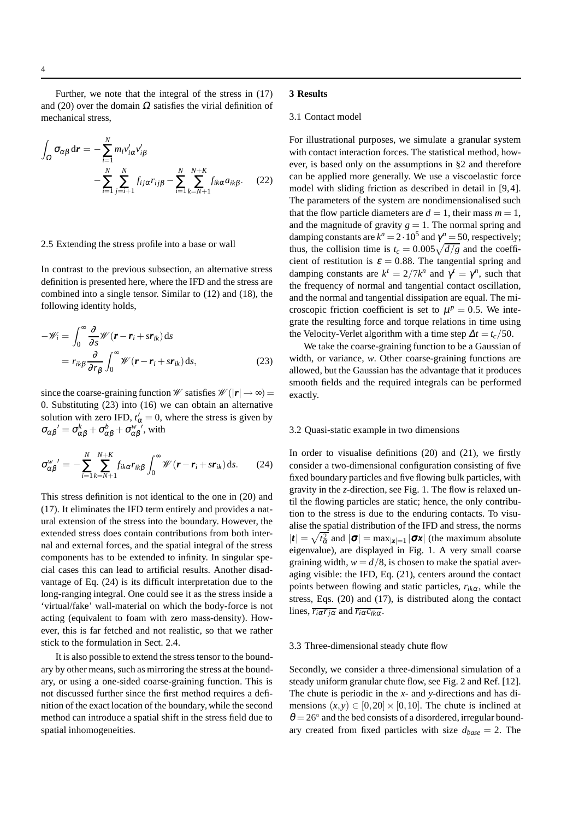Further, we note that the integral of the stress in (17) and (20) over the domain  $\Omega$  satisfies the virial definition of mechanical stress,

$$
\int_{\Omega} \sigma_{\alpha\beta} d\mathbf{r} = -\sum_{i=1}^{N} m_i v'_{i\alpha} v'_{i\beta} \n- \sum_{i=1}^{N} \sum_{j=i+1}^{N} f_{ij\alpha} r_{ij\beta} - \sum_{i=1}^{N} \sum_{k=N+1}^{N+K} f_{ik\alpha} a_{ik\beta}.
$$
\n(22)

### 2.5 Extending the stress profile into a base or wall

In contrast to the previous subsection, an alternative stress definition is presented here, where the IFD and the stress are combined into a single tensor. Similar to (12) and (18), the following identity holds,

$$
-\mathscr{W}_i = \int_0^\infty \frac{\partial}{\partial s} \mathscr{W}(\mathbf{r} - \mathbf{r}_i + s\mathbf{r}_{ik}) ds
$$
  
=  $r_{ik\beta} \frac{\partial}{\partial r_\beta} \int_0^\infty \mathscr{W}(\mathbf{r} - \mathbf{r}_i + s\mathbf{r}_{ik}) ds,$  (23)

since the coarse-graining function W satisfies  $\mathcal{W}(|r| \rightarrow \infty)$  = 0. Substituting (23) into (16) we can obtain an alternative solution with zero IFD,  $t'_\alpha = 0$ , where the stress is given by  $\sigma_{\alpha\beta}' = \sigma_{\alpha\beta}^k + \sigma_{\alpha\beta}^b + \sigma_{\alpha\beta}^{w}$ ', with

$$
\sigma_{\alpha\beta}^{w'} = -\sum_{i=1}^{N} \sum_{k=N+1}^{N+K} f_{ik\alpha} r_{ik\beta} \int_0^\infty \mathscr{W}(\mathbf{r} - \mathbf{r}_i + s\mathbf{r}_{ik}) \, \mathrm{d}s. \tag{24}
$$

This stress definition is not identical to the one in (20) and (17). It eliminates the IFD term entirely and provides a natural extension of the stress into the boundary. However, the extended stress does contain contributions from both internal and external forces, and the spatial integral of the stress components has to be extended to infinity. In singular special cases this can lead to artificial results. Another disadvantage of Eq. (24) is its difficult interpretation due to the long-ranging integral. One could see it as the stress inside a 'virtual/fake' wall-material on which the body-force is not acting (equivalent to foam with zero mass-density). However, this is far fetched and not realistic, so that we rather stick to the formulation in Sect. 2.4.

It is also possible to extend the stress tensor to the boundary by other means, such as mirroring the stress at the boundary, or using a one-sided coarse-graining function. This is not discussed further since the first method requires a definition of the exact location of the boundary, while the second method can introduce a spatial shift in the stress field due to spatial inhomogeneities.

# **3 Results**

### 3.1 Contact model

For illustrational purposes, we simulate a granular system with contact interaction forces. The statistical method, however, is based only on the assumptions in §2 and therefore can be applied more generally. We use a viscoelastic force model with sliding friction as described in detail in [9,4]. The parameters of the system are nondimensionalised such that the flow particle diameters are  $d = 1$ , their mass  $m = 1$ , and the magnitude of gravity  $g = 1$ . The normal spring and damping constants are  $k^n = 2 \cdot 10^5$  and  $\gamma^n = 50$ , respectively; thus, the collision time is  $t_c = 0.005\sqrt{\frac{d}{g}}$  and the coefficient of restitution is  $\varepsilon = 0.88$ . The tangential spring and damping constants are  $k^t = 2/7k^n$  and  $\gamma^t = \gamma^n$ , such that the frequency of normal and tangential contact oscillation, and the normal and tangential dissipation are equal. The microscopic friction coefficient is set to  $\mu^p = 0.5$ . We integrate the resulting force and torque relations in time using the Velocity-Verlet algorithm with a time step  $\Delta t = t_c/50$ .

We take the coarse-graining function to be a Gaussian of width, or variance, *w*. Other coarse-graining functions are allowed, but the Gaussian has the advantage that it produces smooth fields and the required integrals can be performed exactly.

## 3.2 Quasi-static example in two dimensions

In order to visualise definitions (20) and (21), we firstly consider a two-dimensional configuration consisting of five fixed boundary particles and five flowing bulk particles, with gravity in the *z*-direction, see Fig. 1. The flow is relaxed until the flowing particles are static; hence, the only contribution to the stress is due to the enduring contacts. To visualise the spatial distribution of the IFD and stress, the norms  $|\mathbf{t}| = \sqrt{t_{\alpha}^2}$  and  $|\mathbf{\sigma}| = \max_{|\mathbf{x}|=1} |\mathbf{\sigma} \mathbf{x}|$  (the maximum absolute eigenvalue), are displayed in Fig. 1. A very small coarse graining width,  $w = d/8$ , is chosen to make the spatial averaging visible: the IFD, Eq. (21), centers around the contact points between flowing and static particles,  $r_{ik\alpha}$ , while the stress, Eqs. (20) and (17), is distributed along the contact lines,  $\overline{r_{i\alpha}r_{j\alpha}}$  and  $\overline{r_{i\alpha}c_{ik\alpha}}$ .

### 3.3 Three-dimensional steady chute flow

Secondly, we consider a three-dimensional simulation of a steady uniform granular chute flow, see Fig. 2 and Ref. [12]. The chute is periodic in the *x*- and *y*-directions and has dimensions  $(x, y) \in [0, 20] \times [0, 10]$ . The chute is inclined at  $\theta = 26^\circ$  and the bed consists of a disordered, irregular boundary created from fixed particles with size  $d_{base} = 2$ . The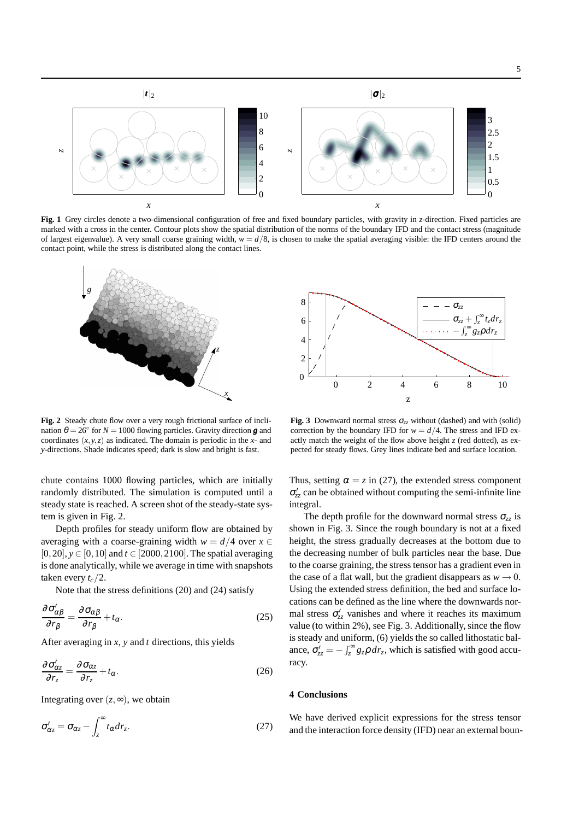

**Fig. 1** Grey circles denote a two-dimensional configuration of free and fixed boundary particles, with gravity in *z*-direction. Fixed particles are marked with a cross in the center. Contour plots show the spatial distribution of the norms of the boundary IFD and the contact stress (magnitude of largest eigenvalue). A very small coarse graining width,  $w = d/8$ , is chosen to make the spatial averaging visible: the IFD centers around the contact point, while the stress is distributed along the contact lines.



**Fig. 2** Steady chute flow over a very rough frictional surface of inclination  $\theta = 26^{\circ}$  for  $N = 1000$  flowing particles. Gravity direction **g** and coordinates  $(x, y, z)$  as indicated. The domain is periodic in the *x*- and *y*-directions. Shade indicates speed; dark is slow and bright is fast.

chute contains 1000 flowing particles, which are initially randomly distributed. The simulation is computed until a steady state is reached. A screen shot of the steady-state system is given in Fig. 2.

Depth profiles for steady uniform flow are obtained by averaging with a coarse-graining width  $w = d/4$  over  $x \in$ [0,20],  $y \in [0, 10]$  and  $t \in [2000, 2100]$ . The spatial averaging is done analytically, while we average in time with snapshots taken every *tc*/2.

Note that the stress definitions (20) and (24) satisfy

$$
\frac{\partial \sigma'_{\alpha\beta}}{\partial r_{\beta}} = \frac{\partial \sigma_{\alpha\beta}}{\partial r_{\beta}} + t_{\alpha}.
$$
\n(25)

After averaging in *x*, *y* and *t* directions, this yields

$$
\frac{\partial \sigma'_{\alpha z}}{\partial r_z} = \frac{\partial \sigma_{\alpha z}}{\partial r_z} + t_\alpha.
$$
\n(26)

Integrating over  $(z, \infty)$ , we obtain

$$
\sigma'_{\alpha z} = \sigma_{\alpha z} - \int_{z}^{\infty} t_{\alpha} dr_{z}.
$$
 (27)



**Fig. 3** Downward normal stress  $\sigma_{zz}$  without (dashed) and with (solid) correction by the boundary IFD for  $w = d/4$ . The stress and IFD exactly match the weight of the flow above height  $z$  (red dotted), as expected for steady flows. Grey lines indicate bed and surface location.

Thus, setting  $\alpha = z$  in (27), the extended stress component σ ′ *zz* can be obtained without computing the semi-infinite line integral.

The depth profile for the downward normal stress  $\sigma_{zz}$  is shown in Fig. 3. Since the rough boundary is not at a fixed height, the stress gradually decreases at the bottom due to the decreasing number of bulk particles near the base. Due to the coarse graining, the stress tensor has a gradient even in the case of a flat wall, but the gradient disappears as  $w \rightarrow 0$ . Using the extended stress definition, the bed and surface locations can be defined as the line where the downwards normal stress  $\sigma'_{zz}$  vanishes and where it reaches its maximum value (to within 2%), see Fig. 3. Additionally, since the flow is steady and uniform, (6) yields the so called lithostatic balance,  $\sigma'_{zz} = -\int_z^{\infty} g_z \rho \, dr_z$ , which is satisfied with good accuracy.

### **4 Conclusions**

We have derived explicit expressions for the stress tensor and the interaction force density (IFD) near an external boun